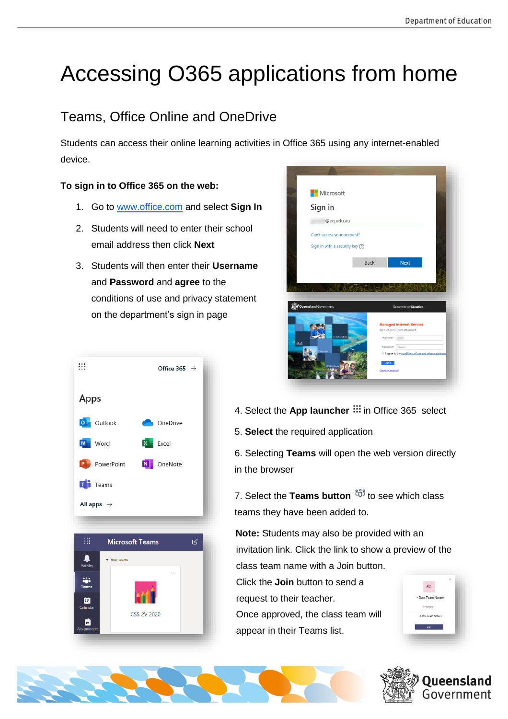# Accessing O365 applications from home

## Teams, Office Online and OneDrive

Students can access their online learning activities in Office 365 using any internet-enabled device.

### **To sign in to Office 365 on the web:**

- 1. Go to [www.office.com](http://www.office.com/) and select **Sign In**
- 2. Students will need to enter their school email address then click **Next**
- 3. Students will then enter their **Username** and **Password** and **agree** to the conditions of use and privacy statement on the department's sign in page





5. **Select** the required application

6. Selecting **Teams** will open the web version directly in the browser

7. Select the **Teams button**  $\frac{26}{3}$  to see which class teams they have been added to.

**Note:** Students may also be provided with an invitation link. Click the link to show a preview of the class team name with a Join button.

Click the **Join** button to send a request to their teacher.

Once approved, the class team will appear in their Teams list.







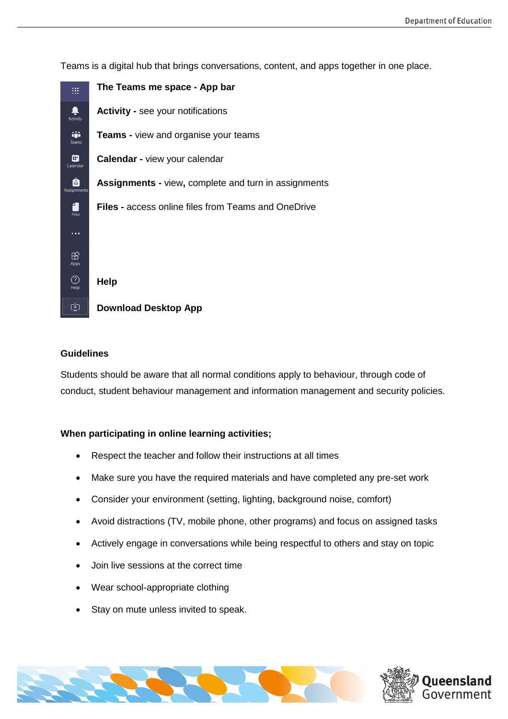

Teams is a digital hub that brings conversations, content, and apps together in one place.

#### **Guidelines**

Students should be aware that all normal conditions apply to behaviour, through code of conduct, student behaviour management and information management and security policies.

#### **When participating in online learning activities;**

- Respect the teacher and follow their instructions at all times
- Make sure you have the required materials and have completed any pre-set work
- Consider your environment (setting, lighting, background noise, comfort)
- Avoid distractions (TV, mobile phone, other programs) and focus on assigned tasks
- Actively engage in conversations while being respectful to others and stay on topic
- Join live sessions at the correct time
- Wear school-appropriate clothing
- Stay on mute unless invited to speak.